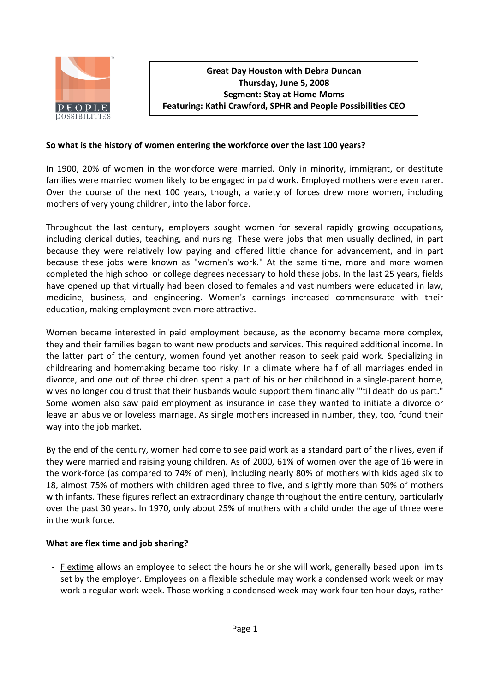

### **So what is the history of women entering the workforce over the last 100 years?**

In 1900, 20% of women in the workforce were married. Only in minority, immigrant, or destitute families were married women likely to be engaged in paid work. Employed mothers were even rarer. Over the course of the next 100 years, though, a variety of forces drew more women, including mothers of very young children, into the labor force.

Throughout the last century, employers sought women for several rapidly growing occupations, including clerical duties, teaching, and nursing. These were jobs that men usually declined, in part because they were relatively low paying and offered little chance for advancement, and in part because these jobs were known as "women's work." At the same time, more and more women completed the high school or college degrees necessary to hold these jobs. In the last 25 years, fields have opened up that virtually had been closed to females and vast numbers were educated in law, medicine, business, and engineering. Women's earnings increased commensurate with their education, making employment even more attractive.

Women became interested in paid employment because, as the economy became more complex, they and their families began to want new products and services. This required additional income. In the latter part of the century, women found yet another reason to seek paid work. Specializing in childrearing and homemaking became too risky. In a climate where half of all marriages ended in divorce, and one out of three children spent a part of his or her childhood in a single-parent home, wives no longer could trust that their husbands would support them financially "'til death do us part." Some women also saw paid employment as insurance in case they wanted to initiate a divorce or leave an abusive or loveless marriage. As single mothers increased in number, they, too, found their way into the job market.

By the end of the century, women had come to see paid work as a standard part of their lives, even if they were married and raising young children. As of 2000, 61% of women over the age of 16 were in the work-force (as compared to 74% of men), including nearly 80% of mothers with kids aged six to 18, almost 75% of mothers with children aged three to five, and slightly more than 50% of mothers with infants. These figures reflect an extraordinary change throughout the entire century, particularly over the past 30 years. In 1970, only about 25% of mothers with a child under the age of three were in the work force.

# **What are flex time and job sharing?**

• Flextime allows an employee to select the hours he or she will work, generally based upon limits set by the employer. Employees on a flexible schedule may work a condensed work week or may work a regular work week. Those working a condensed week may work four ten hour days, rather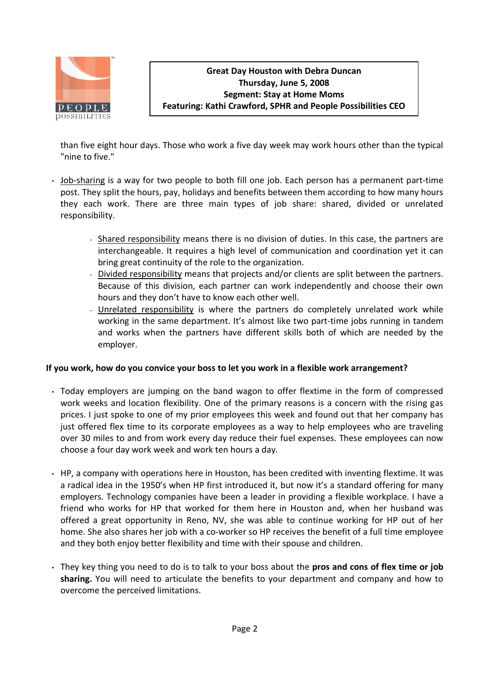

**Great Day Houston with Debra Duncan Thursday, June 5, 2008 Segment: Stay at Home Moms Featuring: Kathi Crawford, SPHR and People Possibilities CEO**

than five eight hour days. Those who work a five day week may work hours other than the typical "nine to five."

- Job-sharing is a way for two people to both fill one job. Each person has a permanent part-time post. They split the hours, pay, holidays and benefits between them according to how many hours they each work. There are three main types of job share: shared, divided or unrelated responsibility.
	- Shared responsibility means there is no division of duties. In this case, the partners are interchangeable. It requires a high level of communication and coordination yet it can bring great continuity of the role to the organization.
	- Divided responsibility means that projects and/or clients are split between the partners. Because of this division, each partner can work independently and choose their own hours and they don't have to know each other well.
	- Unrelated responsibility is where the partners do completely unrelated work while working in the same department. It's almost like two part-time jobs running in tandem and works when the partners have different skills both of which are needed by the employer.

### **If you work, how do you convice your boss to let you work in a flexible work arrangement?**

- Today employers are jumping on the band wagon to offer flextime in the form of compressed work weeks and location flexibility. One of the primary reasons is a concern with the rising gas prices. I just spoke to one of my prior employees this week and found out that her company has just offered flex time to its corporate employees as a way to help employees who are traveling over 30 miles to and from work every day reduce their fuel expenses. These employees can now choose a four day work week and work ten hours a day.
- HP, a company with operations here in Houston, has been credited with inventing flextime. It was a radical idea in the 1950's when HP first introduced it, but now it's a standard offering for many employers. Technology companies have been a leader in providing a flexible workplace. I have a friend who works for HP that worked for them here in Houston and, when her husband was offered a great opportunity in Reno, NV, she was able to continue working for HP out of her home. She also shares her job with a co-worker so HP receives the benefit of a full time employee and they both enjoy better flexibility and time with their spouse and children.
- They key thing you need to do is to talk to your boss about the **pros and cons of flex time or job sharing.** You will need to articulate the benefits to your department and company and how to overcome the perceived limitations.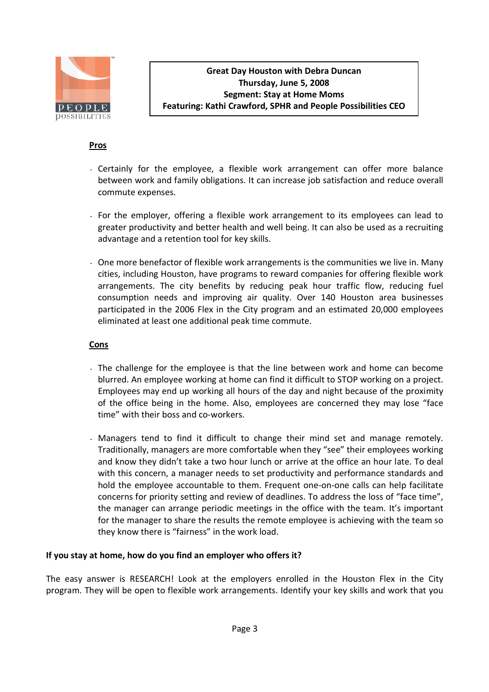

**Great Day Houston with Debra Duncan Thursday, June 5, 2008 Segment: Stay at Home Moms Featuring: Kathi Crawford, SPHR and People Possibilities CEO**

### **Pros**

- Certainly for the employee, a flexible work arrangement can offer more balance between work and family obligations. It can increase job satisfaction and reduce overall commute expenses.
- For the employer, offering a flexible work arrangement to its employees can lead to greater productivity and better health and well being. It can also be used as a recruiting advantage and a retention tool for key skills.
- One more benefactor of flexible work arrangements is the communities we live in. Many cities, including Houston, have programs to reward companies for offering flexible work arrangements. The city benefits by reducing peak hour traffic flow, reducing fuel consumption needs and improving air quality. Over 140 Houston area businesses participated in the 2006 Flex in the City program and an estimated 20,000 employees eliminated at least one additional peak time commute.

### **Cons**

- The challenge for the employee is that the line between work and home can become blurred. An employee working at home can find it difficult to STOP working on a project. Employees may end up working all hours of the day and night because of the proximity of the office being in the home. Also, employees are concerned they may lose "face time" with their boss and co-workers.
- Managers tend to find it difficult to change their mind set and manage remotely. Traditionally, managers are more comfortable when they "see" their employees working and know they didn't take a two hour lunch or arrive at the office an hour late. To deal with this concern, a manager needs to set productivity and performance standards and hold the employee accountable to them. Frequent one-on-one calls can help facilitate concerns for priority setting and review of deadlines. To address the loss of "face time", the manager can arrange periodic meetings in the office with the team. It's important for the manager to share the results the remote employee is achieving with the team so they know there is "fairness" in the work load.

### **If you stay at home, how do you find an employer who offers it?**

The easy answer is RESEARCH! Look at the employers enrolled in the Houston Flex in the City program. They will be open to flexible work arrangements. Identify your key skills and work that you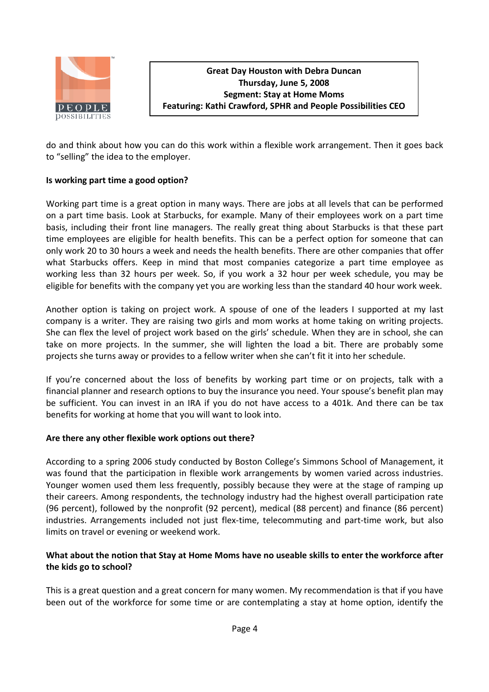

do and think about how you can do this work within a flexible work arrangement. Then it goes back to "selling" the idea to the employer.

## **Is working part time a good option?**

Working part time is a great option in many ways. There are jobs at all levels that can be performed on a part time basis. Look at Starbucks, for example. Many of their employees work on a part time basis, including their front line managers. The really great thing about Starbucks is that these part time employees are eligible for health benefits. This can be a perfect option for someone that can only work 20 to 30 hours a week and needs the health benefits. There are other companies that offer what Starbucks offers. Keep in mind that most companies categorize a part time employee as working less than 32 hours per week. So, if you work a 32 hour per week schedule, you may be eligible for benefits with the company yet you are working less than the standard 40 hour work week.

Another option is taking on project work. A spouse of one of the leaders I supported at my last company is a writer. They are raising two girls and mom works at home taking on writing projects. She can flex the level of project work based on the girls' schedule. When they are in school, she can take on more projects. In the summer, she will lighten the load a bit. There are probably some projects she turns away or provides to a fellow writer when she can't fit it into her schedule.

If you're concerned about the loss of benefits by working part time or on projects, talk with a financial planner and research options to buy the insurance you need. Your spouse's benefit plan may be sufficient. You can invest in an IRA if you do not have access to a 401k. And there can be tax benefits for working at home that you will want to look into.

### **Are there any other flexible work options out there?**

According to a spring 2006 study conducted by Boston College's Simmons School of Management, it was found that the participation in flexible work arrangements by women varied across industries. Younger women used them less frequently, possibly because they were at the stage of ramping up their careers. Among respondents, the technology industry had the highest overall participation rate (96 percent), followed by the nonprofit (92 percent), medical (88 percent) and finance (86 percent) industries. Arrangements included not just flex-time, telecommuting and part-time work, but also limits on travel or evening or weekend work.

# **What about the notion that Stay at Home Moms have no useable skills to enter the workforce after the kids go to school?**

This is a great question and a great concern for many women. My recommendation is that if you have been out of the workforce for some time or are contemplating a stay at home option, identify the